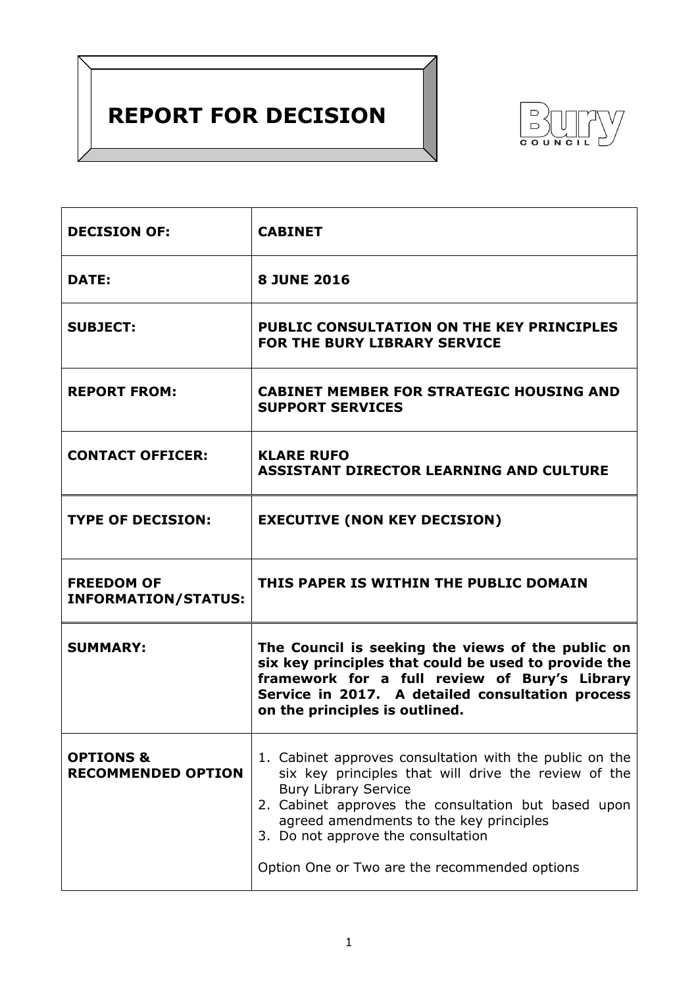# **REPORT FOR DECISION**



| <b>DECISION OF:</b>                               | <b>CABINET</b>                                                                                                                                                                                                                                                                         |  |
|---------------------------------------------------|----------------------------------------------------------------------------------------------------------------------------------------------------------------------------------------------------------------------------------------------------------------------------------------|--|
| <b>DATE:</b>                                      | <b>8 JUNE 2016</b>                                                                                                                                                                                                                                                                     |  |
| <b>SUBJECT:</b>                                   | PUBLIC CONSULTATION ON THE KEY PRINCIPLES<br>FOR THE BURY LIBRARY SERVICE                                                                                                                                                                                                              |  |
| <b>REPORT FROM:</b>                               | <b>CABINET MEMBER FOR STRATEGIC HOUSING AND</b><br><b>SUPPORT SERVICES</b>                                                                                                                                                                                                             |  |
| <b>CONTACT OFFICER:</b>                           | <b>KLARE RUFO</b><br><b>ASSISTANT DIRECTOR LEARNING AND CULTURE</b>                                                                                                                                                                                                                    |  |
| <b>TYPE OF DECISION:</b>                          | <b>EXECUTIVE (NON KEY DECISION)</b>                                                                                                                                                                                                                                                    |  |
| <b>FREEDOM OF</b><br><b>INFORMATION/STATUS:</b>   | THIS PAPER IS WITHIN THE PUBLIC DOMAIN                                                                                                                                                                                                                                                 |  |
| <b>SUMMARY:</b>                                   | The Council is seeking the views of the public on<br>six key principles that could be used to provide the<br>framework for a full review of Bury's Library<br>Service in 2017. A detailed consultation process<br>on the principles is outlined.                                       |  |
| <b>OPTIONS &amp;</b><br><b>RECOMMENDED OPTION</b> | 1. Cabinet approves consultation with the public on the<br>six key principles that will drive the review of the<br><b>Bury Library Service</b><br>2. Cabinet approves the consultation but based upon<br>agreed amendments to the key principles<br>3. Do not approve the consultation |  |
|                                                   | Option One or Two are the recommended options                                                                                                                                                                                                                                          |  |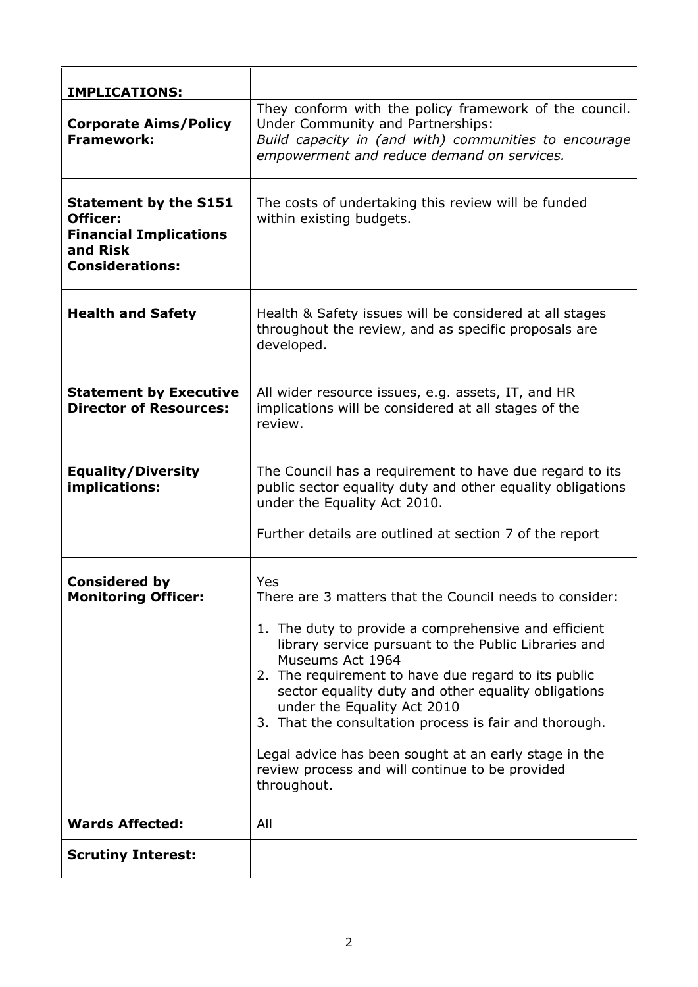| <b>IMPLICATIONS:</b>                                                                                            |                                                                                                                                                                                                                                                                                                                                                                                                                                                                                                                                      |
|-----------------------------------------------------------------------------------------------------------------|--------------------------------------------------------------------------------------------------------------------------------------------------------------------------------------------------------------------------------------------------------------------------------------------------------------------------------------------------------------------------------------------------------------------------------------------------------------------------------------------------------------------------------------|
| <b>Corporate Aims/Policy</b><br><b>Framework:</b>                                                               | They conform with the policy framework of the council.<br>Under Community and Partnerships:<br>Build capacity in (and with) communities to encourage<br>empowerment and reduce demand on services.                                                                                                                                                                                                                                                                                                                                   |
| <b>Statement by the S151</b><br>Officer:<br><b>Financial Implications</b><br>and Risk<br><b>Considerations:</b> | The costs of undertaking this review will be funded<br>within existing budgets.                                                                                                                                                                                                                                                                                                                                                                                                                                                      |
| <b>Health and Safety</b>                                                                                        | Health & Safety issues will be considered at all stages<br>throughout the review, and as specific proposals are<br>developed.                                                                                                                                                                                                                                                                                                                                                                                                        |
| <b>Statement by Executive</b><br><b>Director of Resources:</b>                                                  | All wider resource issues, e.g. assets, IT, and HR<br>implications will be considered at all stages of the<br>review.                                                                                                                                                                                                                                                                                                                                                                                                                |
| <b>Equality/Diversity</b><br>implications:                                                                      | The Council has a requirement to have due regard to its<br>public sector equality duty and other equality obligations<br>under the Equality Act 2010.<br>Further details are outlined at section 7 of the report                                                                                                                                                                                                                                                                                                                     |
| <b>Considered by</b><br><b>Monitoring Officer:</b>                                                              | Yes<br>There are 3 matters that the Council needs to consider:<br>1. The duty to provide a comprehensive and efficient<br>library service pursuant to the Public Libraries and<br>Museums Act 1964<br>2. The requirement to have due regard to its public<br>sector equality duty and other equality obligations<br>under the Equality Act 2010<br>3. That the consultation process is fair and thorough.<br>Legal advice has been sought at an early stage in the<br>review process and will continue to be provided<br>throughout. |
| <b>Wards Affected:</b>                                                                                          | All                                                                                                                                                                                                                                                                                                                                                                                                                                                                                                                                  |
| <b>Scrutiny Interest:</b>                                                                                       |                                                                                                                                                                                                                                                                                                                                                                                                                                                                                                                                      |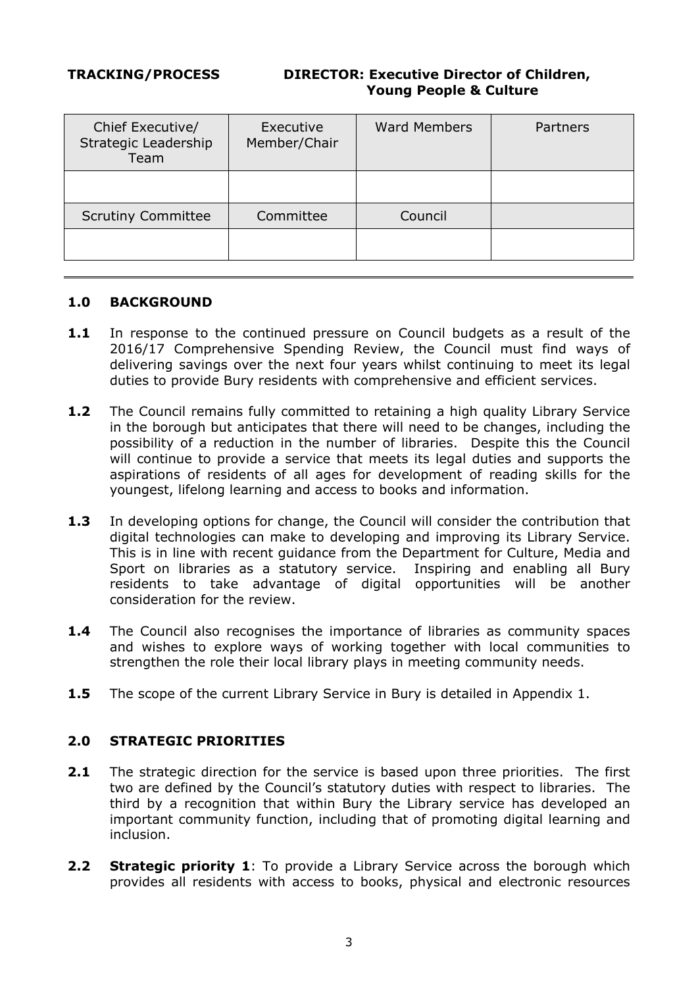## **TRACKING/PROCESS DIRECTOR: Executive Director of Children, Young People & Culture**

| Chief Executive/<br>Strategic Leadership<br>Team | Executive<br>Member/Chair | <b>Ward Members</b> | Partners |
|--------------------------------------------------|---------------------------|---------------------|----------|
|                                                  |                           |                     |          |
| <b>Scrutiny Committee</b>                        | Committee                 | Council             |          |
|                                                  |                           |                     |          |

## **1.0 BACKGROUND**

- **1.1** In response to the continued pressure on Council budgets as a result of the 2016/17 Comprehensive Spending Review, the Council must find ways of delivering savings over the next four years whilst continuing to meet its legal duties to provide Bury residents with comprehensive and efficient services.
- **1.2** The Council remains fully committed to retaining a high quality Library Service in the borough but anticipates that there will need to be changes, including the possibility of a reduction in the number of libraries. Despite this the Council will continue to provide a service that meets its legal duties and supports the aspirations of residents of all ages for development of reading skills for the youngest, lifelong learning and access to books and information.
- **1.3** In developing options for change, the Council will consider the contribution that digital technologies can make to developing and improving its Library Service. This is in line with recent guidance from the Department for Culture, Media and Sport on libraries as a statutory service. Inspiring and enabling all Bury residents to take advantage of digital opportunities will be another consideration for the review.
- **1.4** The Council also recognises the importance of libraries as community spaces and wishes to explore ways of working together with local communities to strengthen the role their local library plays in meeting community needs.
- **1.5** The scope of the current Library Service in Bury is detailed in Appendix 1.

## **2.0 STRATEGIC PRIORITIES**

- **2.1** The strategic direction for the service is based upon three priorities. The first two are defined by the Council's statutory duties with respect to libraries. The third by a recognition that within Bury the Library service has developed an important community function, including that of promoting digital learning and inclusion.
- **2.2 Strategic priority 1**: To provide a Library Service across the borough which provides all residents with access to books, physical and electronic resources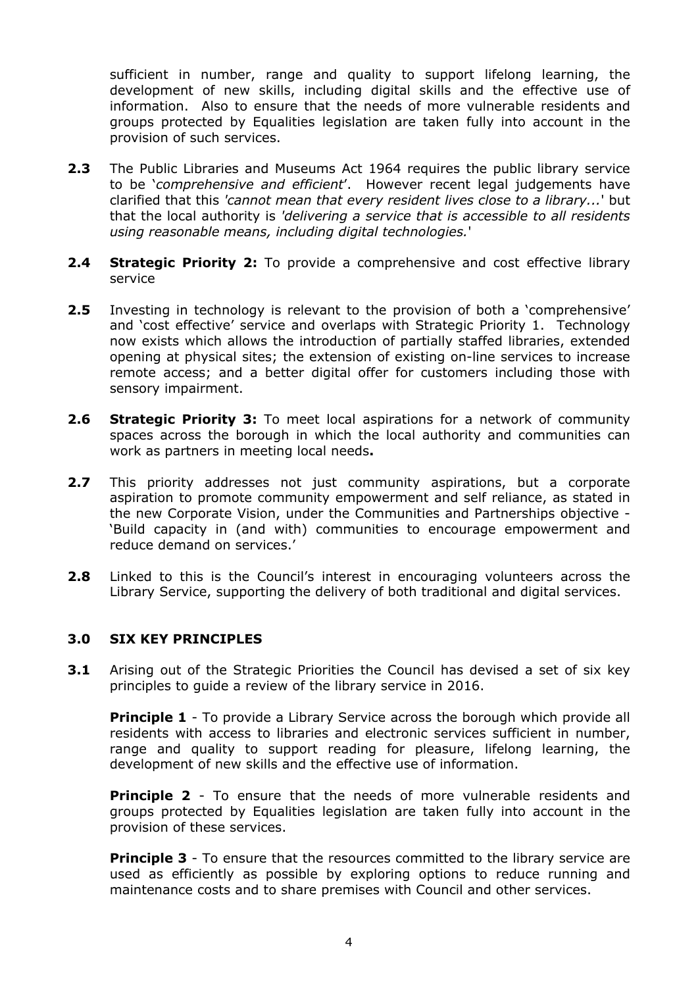sufficient in number, range and quality to support lifelong learning, the development of new skills, including digital skills and the effective use of information. Also to ensure that the needs of more vulnerable residents and groups protected by Equalities legislation are taken fully into account in the provision of such services.

- **2.3** The Public Libraries and Museums Act 1964 requires the public library service to be '*comprehensive and efficient*'. However recent legal judgements have clarified that this *'cannot mean that every resident lives close to a library...*' but that the local authority is *'delivering a service that is accessible to all residents using reasonable means, including digital technologies.*'
- **2.4 Strategic Priority 2:** To provide a comprehensive and cost effective library service
- **2.5** Investing in technology is relevant to the provision of both a 'comprehensive' and 'cost effective' service and overlaps with Strategic Priority 1. Technology now exists which allows the introduction of partially staffed libraries, extended opening at physical sites; the extension of existing on-line services to increase remote access; and a better digital offer for customers including those with sensory impairment.
- **2.6 Strategic Priority 3:** To meet local aspirations for a network of community spaces across the borough in which the local authority and communities can work as partners in meeting local needs**.**
- **2.7** This priority addresses not just community aspirations, but a corporate aspiration to promote community empowerment and self reliance, as stated in the new Corporate Vision, under the Communities and Partnerships objective - 'Build capacity in (and with) communities to encourage empowerment and reduce demand on services.'
- **2.8** Linked to this is the Council's interest in encouraging volunteers across the Library Service, supporting the delivery of both traditional and digital services.

## **3.0 SIX KEY PRINCIPLES**

**3.1** Arising out of the Strategic Priorities the Council has devised a set of six key principles to guide a review of the library service in 2016.

**Principle 1** - To provide a Library Service across the borough which provide all residents with access to libraries and electronic services sufficient in number, range and quality to support reading for pleasure, lifelong learning, the development of new skills and the effective use of information.

**Principle 2** - To ensure that the needs of more vulnerable residents and groups protected by Equalities legislation are taken fully into account in the provision of these services.

**Principle 3** - To ensure that the resources committed to the library service are used as efficiently as possible by exploring options to reduce running and maintenance costs and to share premises with Council and other services.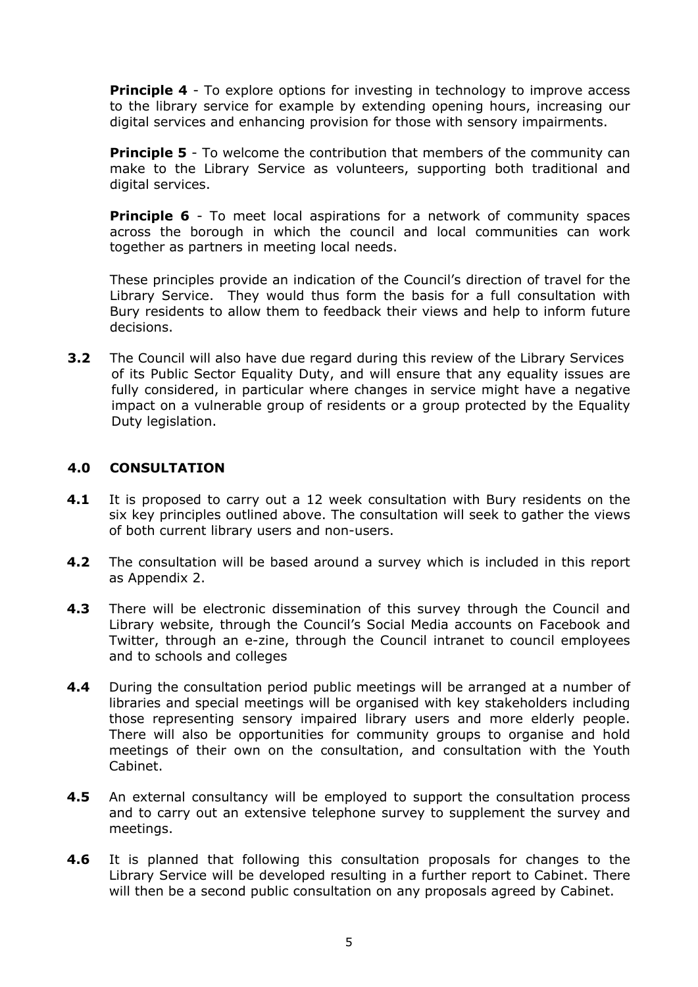**Principle 4** - To explore options for investing in technology to improve access to the library service for example by extending opening hours, increasing our digital services and enhancing provision for those with sensory impairments.

**Principle 5** - To welcome the contribution that members of the community can make to the Library Service as volunteers, supporting both traditional and digital services.

**Principle 6** - To meet local aspirations for a network of community spaces across the borough in which the council and local communities can work together as partners in meeting local needs.

These principles provide an indication of the Council's direction of travel for the Library Service. They would thus form the basis for a full consultation with Bury residents to allow them to feedback their views and help to inform future decisions.

**3.2** The Council will also have due regard during this review of the Library Services of its Public Sector Equality Duty, and will ensure that any equality issues are fully considered, in particular where changes in service might have a negative impact on a vulnerable group of residents or a group protected by the Equality Duty legislation.

## **4.0 CONSULTATION**

- **4.1** It is proposed to carry out a 12 week consultation with Bury residents on the six key principles outlined above. The consultation will seek to gather the views of both current library users and non-users.
- **4.2** The consultation will be based around a survey which is included in this report as Appendix 2.
- **4.3** There will be electronic dissemination of this survey through the Council and Library website, through the Council's Social Media accounts on Facebook and Twitter, through an e-zine, through the Council intranet to council employees and to schools and colleges
- **4.4** During the consultation period public meetings will be arranged at a number of libraries and special meetings will be organised with key stakeholders including those representing sensory impaired library users and more elderly people. There will also be opportunities for community groups to organise and hold meetings of their own on the consultation, and consultation with the Youth Cabinet.
- **4.5** An external consultancy will be employed to support the consultation process and to carry out an extensive telephone survey to supplement the survey and meetings.
- **4.6** It is planned that following this consultation proposals for changes to the Library Service will be developed resulting in a further report to Cabinet. There will then be a second public consultation on any proposals agreed by Cabinet.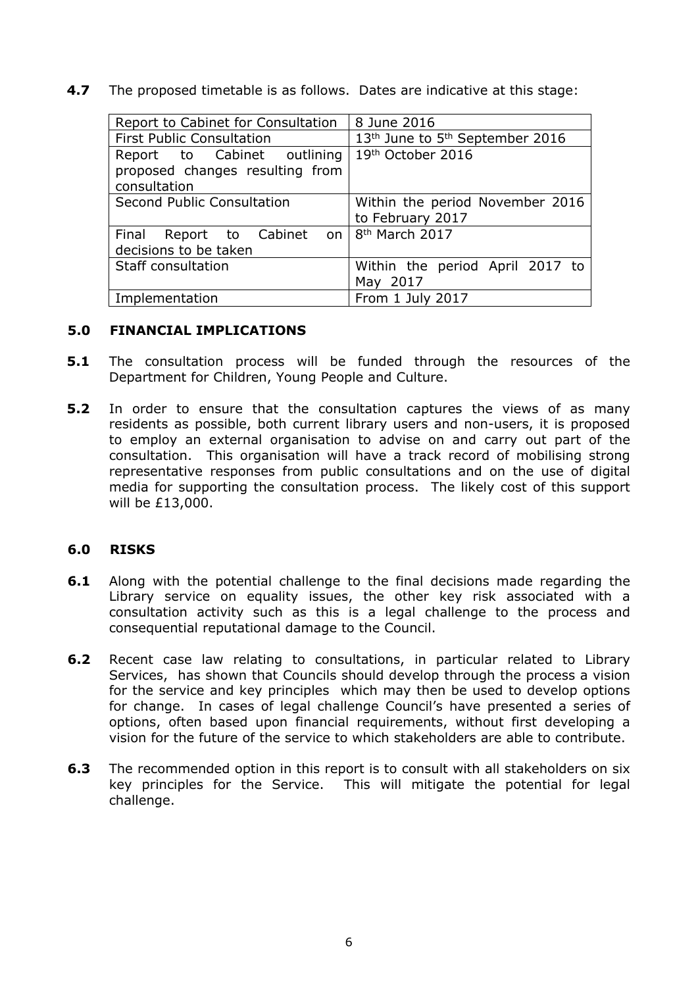**4.7** The proposed timetable is as follows. Dates are indicative at this stage:

| Report to Cabinet for Consultation          | 8 June 2016                                             |
|---------------------------------------------|---------------------------------------------------------|
| <b>First Public Consultation</b>            | 13 <sup>th</sup> June to 5 <sup>th</sup> September 2016 |
| Report to Cabinet outlining                 | 19th October 2016                                       |
| proposed changes resulting from             |                                                         |
| consultation                                |                                                         |
| Second Public Consultation                  | Within the period November 2016                         |
|                                             | to February 2017                                        |
| Final Report to Cabinet on   8th March 2017 |                                                         |
| decisions to be taken                       |                                                         |
| Staff consultation                          | Within the period April 2017 to                         |
|                                             | May 2017                                                |
| Implementation                              | From 1 July 2017                                        |

#### **5.0 FINANCIAL IMPLICATIONS**

- **5.1** The consultation process will be funded through the resources of the Department for Children, Young People and Culture.
- **5.2** In order to ensure that the consultation captures the views of as many residents as possible, both current library users and non-users, it is proposed to employ an external organisation to advise on and carry out part of the consultation. This organisation will have a track record of mobilising strong representative responses from public consultations and on the use of digital media for supporting the consultation process. The likely cost of this support will be £13,000.

#### **6.0 RISKS**

- **6.1** Along with the potential challenge to the final decisions made regarding the Library service on equality issues, the other key risk associated with a consultation activity such as this is a legal challenge to the process and consequential reputational damage to the Council.
- **6.2** Recent case law relating to consultations, in particular related to Library Services, has shown that Councils should develop through the process a vision for the service and key principles which may then be used to develop options for change. In cases of legal challenge Council's have presented a series of options, often based upon financial requirements, without first developing a vision for the future of the service to which stakeholders are able to contribute.
- **6.3** The recommended option in this report is to consult with all stakeholders on six key principles for the Service. This will mitigate the potential for legal challenge.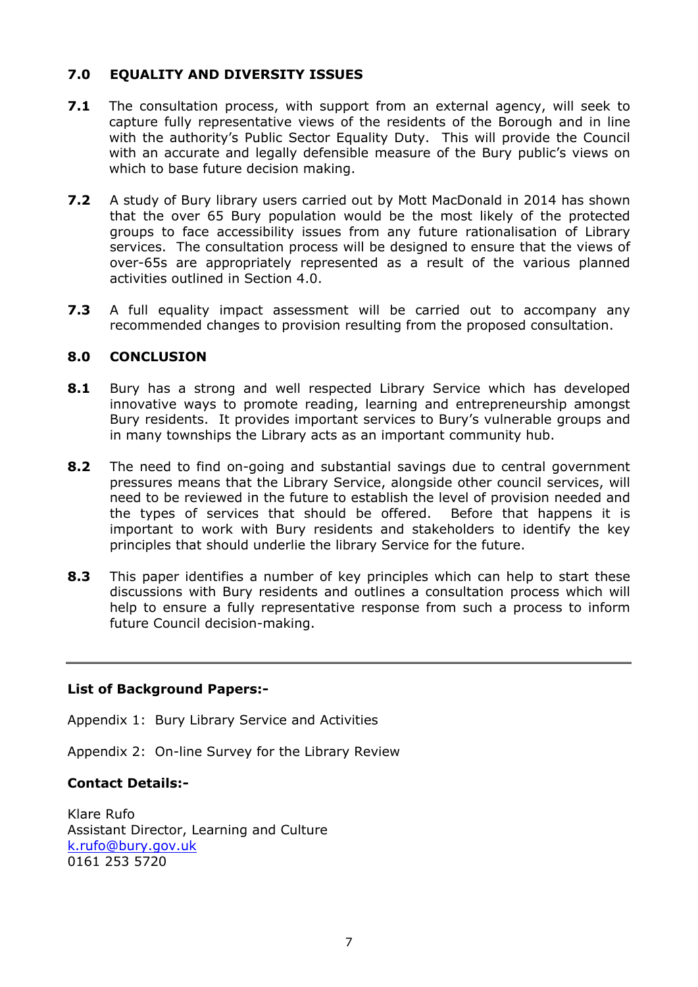# **7.0 EQUALITY AND DIVERSITY ISSUES**

- **7.1** The consultation process, with support from an external agency, will seek to capture fully representative views of the residents of the Borough and in line with the authority's Public Sector Equality Duty. This will provide the Council with an accurate and legally defensible measure of the Bury public's views on which to base future decision making.
- **7.2** A study of Bury library users carried out by Mott MacDonald in 2014 has shown that the over 65 Bury population would be the most likely of the protected groups to face accessibility issues from any future rationalisation of Library services. The consultation process will be designed to ensure that the views of over-65s are appropriately represented as a result of the various planned activities outlined in Section 4.0.
- **7.3** A full equality impact assessment will be carried out to accompany any recommended changes to provision resulting from the proposed consultation.

# **8.0 CONCLUSION**

- **8.1** Bury has a strong and well respected Library Service which has developed innovative ways to promote reading, learning and entrepreneurship amongst Bury residents. It provides important services to Bury's vulnerable groups and in many townships the Library acts as an important community hub.
- **8.2** The need to find on-going and substantial savings due to central government pressures means that the Library Service, alongside other council services, will need to be reviewed in the future to establish the level of provision needed and the types of services that should be offered. Before that happens it is important to work with Bury residents and stakeholders to identify the key principles that should underlie the library Service for the future.
- **8.3** This paper identifies a number of key principles which can help to start these discussions with Bury residents and outlines a consultation process which will help to ensure a fully representative response from such a process to inform future Council decision-making.

## **List of Background Papers:-**

Appendix 1: Bury Library Service and Activities

Appendix 2: On-line Survey for the Library Review

## **Contact Details:-**

Klare Rufo Assistant Director, Learning and Culture [k.rufo@bury.gov.uk](mailto:k.rufo@bury.gov.uk) 0161 253 5720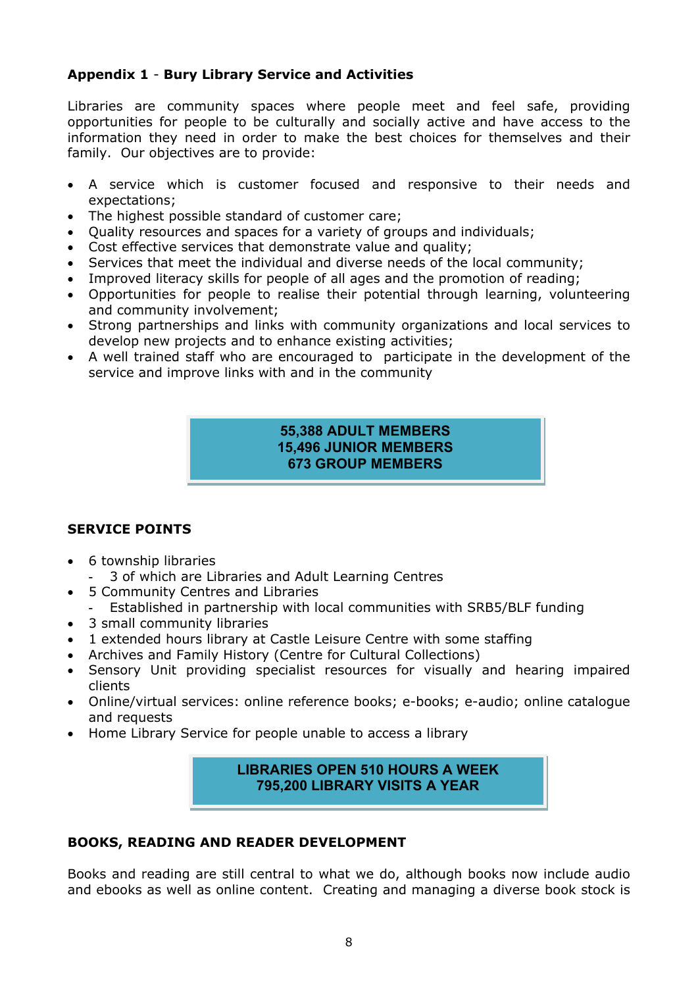# **Appendix 1** - **Bury Library Service and Activities**

Libraries are community spaces where people meet and feel safe, providing opportunities for people to be culturally and socially active and have access to the information they need in order to make the best choices for themselves and their family. Our objectives are to provide:

- A service which is customer focused and responsive to their needs and expectations;
- The highest possible standard of customer care;
- Quality resources and spaces for a variety of groups and individuals;
- Cost effective services that demonstrate value and quality;
- Services that meet the individual and diverse needs of the local community;
- Improved literacy skills for people of all ages and the promotion of reading;
- Opportunities for people to realise their potential through learning, volunteering and community involvement;
- Strong partnerships and links with community organizations and local services to develop new projects and to enhance existing activities;
- A well trained staff who are encouraged to participate in the development of the service and improve links with and in the community

## **55,388 ADULT MEMBERS 15,496 JUNIOR MEMBERS 673 GROUP MEMBERS**

# **SERVICE POINTS**

- 6 township libraries
	- 3 of which are Libraries and Adult Learning Centres
- 5 Community Centres and Libraries
	- Established in partnership with local communities with SRB5/BLF funding
- 3 small community libraries
- 1 extended hours library at Castle Leisure Centre with some staffing
- Archives and Family History (Centre for Cultural Collections)
- Sensory Unit providing specialist resources for visually and hearing impaired clients
- Online/virtual services: online reference books; e-books; e-audio; online catalogue and requests
- Home Library Service for people unable to access a library

# **LIBRARIES OPEN 510 HOURS A WEEK 795,200 LIBRARY VISITS A YEAR**

## **BOOKS, READING AND READER DEVELOPMENT**

Books and reading are still central to what we do, although books now include audio and ebooks as well as online content. Creating and managing a diverse book stock is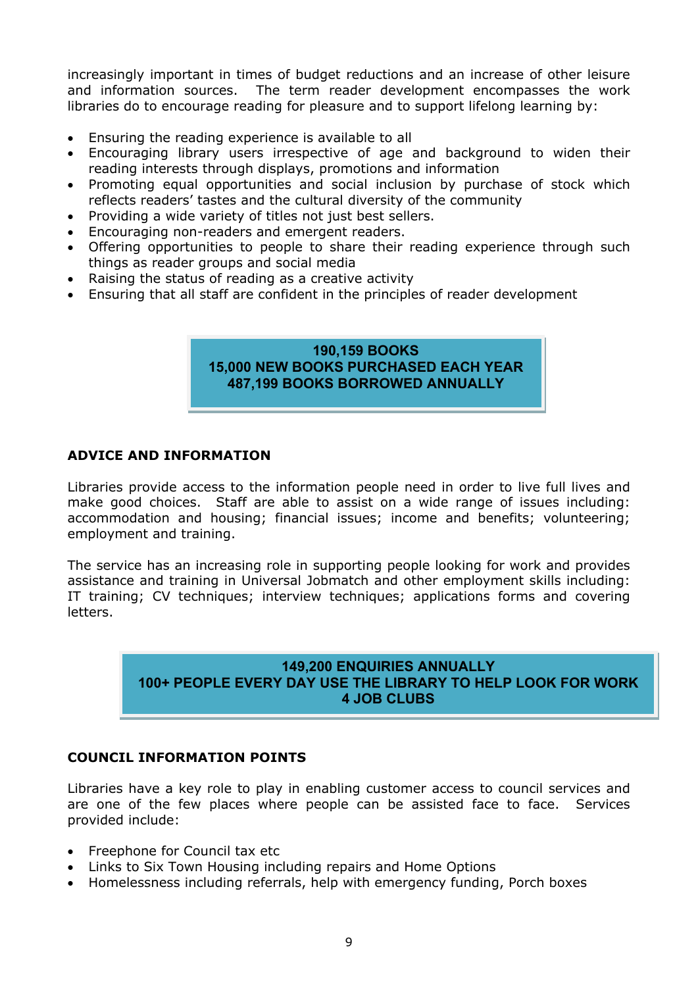increasingly important in times of budget reductions and an increase of other leisure and information sources. The term reader development encompasses the work libraries do to encourage reading for pleasure and to support lifelong learning by:

- Ensuring the reading experience is available to all
- Encouraging library users irrespective of age and background to widen their reading interests through displays, promotions and information
- Promoting equal opportunities and social inclusion by purchase of stock which reflects readers' tastes and the cultural diversity of the community
- Providing a wide variety of titles not just best sellers.
- Encouraging non-readers and emergent readers.
- Offering opportunities to people to share their reading experience through such things as reader groups and social media
- Raising the status of reading as a creative activity
- Ensuring that all staff are confident in the principles of reader development

# **190,159 BOOKS 15,000 NEW BOOKS PURCHASED EACH YEAR 487,199 BOOKS BORROWED ANNUALLY**

#### **ADVICE AND INFORMATION**

Libraries provide access to the information people need in order to live full lives and make good choices. Staff are able to assist on a wide range of issues including: accommodation and housing; financial issues; income and benefits; volunteering; employment and training.

The service has an increasing role in supporting people looking for work and provides assistance and training in Universal Jobmatch and other employment skills including: IT training; CV techniques; interview techniques; applications forms and covering letters.

## **149,200 ENQUIRIES ANNUALLY 100+ PEOPLE EVERY DAY USE THE LIBRARY TO HELP LOOK FOR WORK 4 JOB CLUBS**

## **COUNCIL INFORMATION POINTS**

Libraries have a key role to play in enabling customer access to council services and are one of the few places where people can be assisted face to face. Services provided include:

- Freephone for Council tax etc
- Links to Six Town Housing including repairs and Home Options
- Homelessness including referrals, help with emergency funding, Porch boxes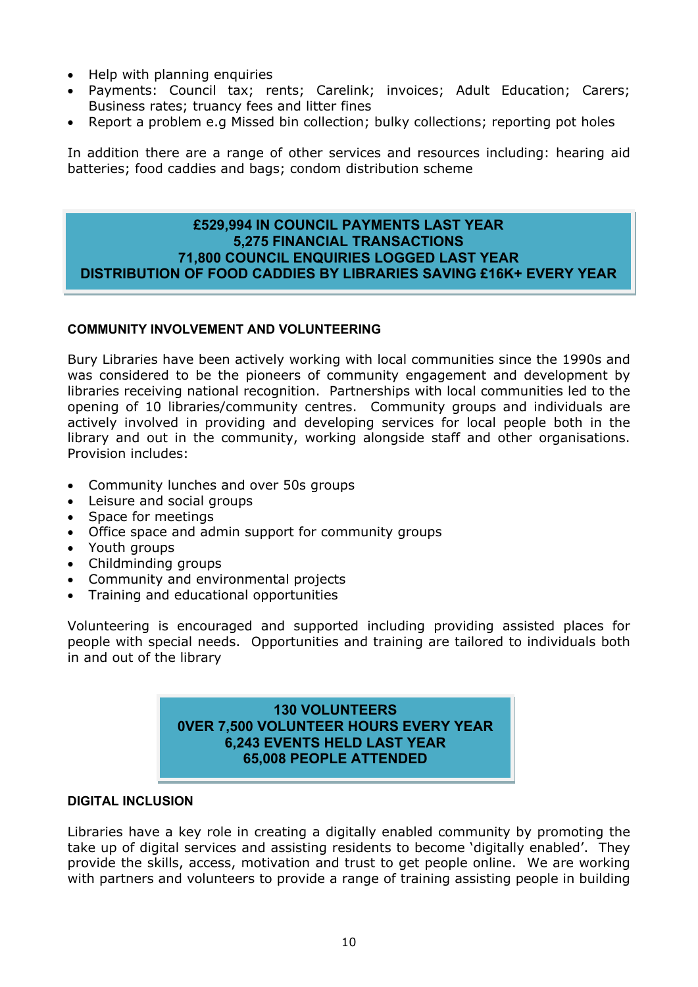- Help with planning enquiries
- Payments: Council tax; rents; Carelink; invoices; Adult Education; Carers; Business rates; truancy fees and litter fines
- Report a problem e.g Missed bin collection; bulky collections; reporting pot holes

In addition there are a range of other services and resources including: hearing aid batteries; food caddies and bags; condom distribution scheme

#### **£529,994 IN COUNCIL PAYMENTS LAST YEAR 5,275 FINANCIAL TRANSACTIONS 71,800 COUNCIL ENQUIRIES LOGGED LAST YEAR DISTRIBUTION OF FOOD CADDIES BY LIBRARIES SAVING £16K+ EVERY YEAR**

#### **COMMUNITY INVOLVEMENT AND VOLUNTEERING**

Bury Libraries have been actively working with local communities since the 1990s and was considered to be the pioneers of community engagement and development by libraries receiving national recognition. Partnerships with local communities led to the opening of 10 libraries/community centres. Community groups and individuals are actively involved in providing and developing services for local people both in the library and out in the community, working alongside staff and other organisations. Provision includes:

- Community lunches and over 50s groups
- Leisure and social groups
- Space for meetings
- Office space and admin support for community groups
- Youth groups
- Childminding groups
- Community and environmental projects
- Training and educational opportunities

Volunteering is encouraged and supported including providing assisted places for people with special needs. Opportunities and training are tailored to individuals both in and out of the library

#### **130 VOLUNTEERS 0VER 7,500 VOLUNTEER HOURS EVERY YEAR 6,243 EVENTS HELD LAST YEAR 65,008 PEOPLE ATTENDED**

#### **DIGITAL INCLUSION**

Libraries have a key role in creating a digitally enabled community by promoting the take up of digital services and assisting residents to become 'digitally enabled'. They provide the skills, access, motivation and trust to get people online. We are working with partners and volunteers to provide a range of training assisting people in building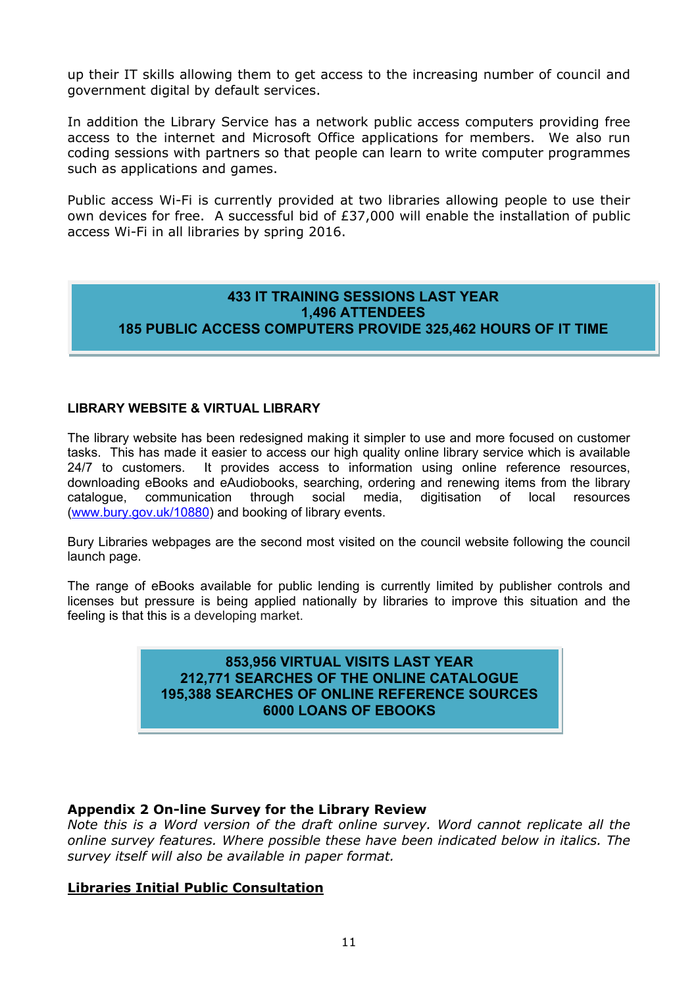up their IT skills allowing them to get access to the increasing number of council and government digital by default services.

In addition the Library Service has a network public access computers providing free access to the internet and Microsoft Office applications for members. We also run coding sessions with partners so that people can learn to write computer programmes such as applications and games.

Public access Wi-Fi is currently provided at two libraries allowing people to use their own devices for free. A successful bid of £37,000 will enable the installation of public access Wi-Fi in all libraries by spring 2016.

# **433 IT TRAINING SESSIONS LAST YEAR 1,496 ATTENDEES 185 PUBLIC ACCESS COMPUTERS PROVIDE 325,462 HOURS OF IT TIME**

#### **LIBRARY WEBSITE & VIRTUAL LIBRARY**

The library website has been redesigned making it simpler to use and more focused on customer tasks. This has made it easier to access our high quality online library service which is available 24/7 to customers. It provides access to information using online reference resources, downloading eBooks and eAudiobooks, searching, ordering and renewing items from the library catalogue, communication through social media, digitisation of local resources [\(www.bury.gov.uk/10880\)](http://www.bury.gov.uk/10880) and booking of library events.

Bury Libraries webpages are the second most visited on the council website following the council launch page.

The range of eBooks available for public lending is currently limited by publisher controls and licenses but pressure is being applied nationally by libraries to improve this situation and the feeling is that this is a developing market.

#### **853,956 VIRTUAL VISITS LAST YEAR 212,771 SEARCHES OF THE ONLINE CATALOGUE 195,388 SEARCHES OF ONLINE REFERENCE SOURCES 6000 LOANS OF EBOOKS**

## **Appendix 2 On-line Survey for the Library Review**

*Note this is a Word version of the draft online survey. Word cannot replicate all the online survey features. Where possible these have been indicated below in italics. The survey itself will also be available in paper format.*

## **Libraries Initial Public Consultation**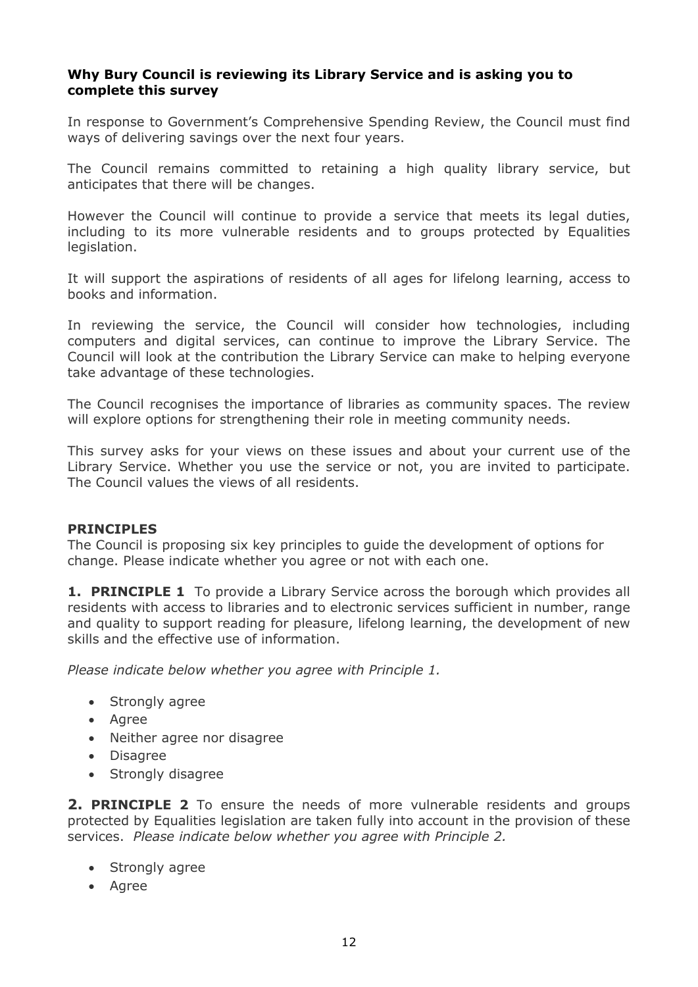## **Why Bury Council is reviewing its Library Service and is asking you to complete this survey**

In response to Government's Comprehensive Spending Review, the Council must find ways of delivering savings over the next four years.

The Council remains committed to retaining a high quality library service, but anticipates that there will be changes.

However the Council will continue to provide a service that meets its legal duties, including to its more vulnerable residents and to groups protected by Equalities legislation.

It will support the aspirations of residents of all ages for lifelong learning, access to books and information.

In reviewing the service, the Council will consider how technologies, including computers and digital services, can continue to improve the Library Service. The Council will look at the contribution the Library Service can make to helping everyone take advantage of these technologies.

The Council recognises the importance of libraries as community spaces. The review will explore options for strengthening their role in meeting community needs.

This survey asks for your views on these issues and about your current use of the Library Service. Whether you use the service or not, you are invited to participate. The Council values the views of all residents.

## **PRINCIPLES**

The Council is proposing six key principles to guide the development of options for change. Please indicate whether you agree or not with each one.

**1. PRINCIPLE 1** To provide a Library Service across the borough which provides all residents with access to libraries and to electronic services sufficient in number, range and quality to support reading for pleasure, lifelong learning, the development of new skills and the effective use of information.

*Please indicate below whether you agree with Principle 1.*

- Strongly agree
- Agree
- Neither agree nor disagree
- Disagree
- Strongly disagree

**2. PRINCIPLE 2** To ensure the needs of more vulnerable residents and groups protected by Equalities legislation are taken fully into account in the provision of these services. *Please indicate below whether you agree with Principle 2.*

- Strongly agree
- Agree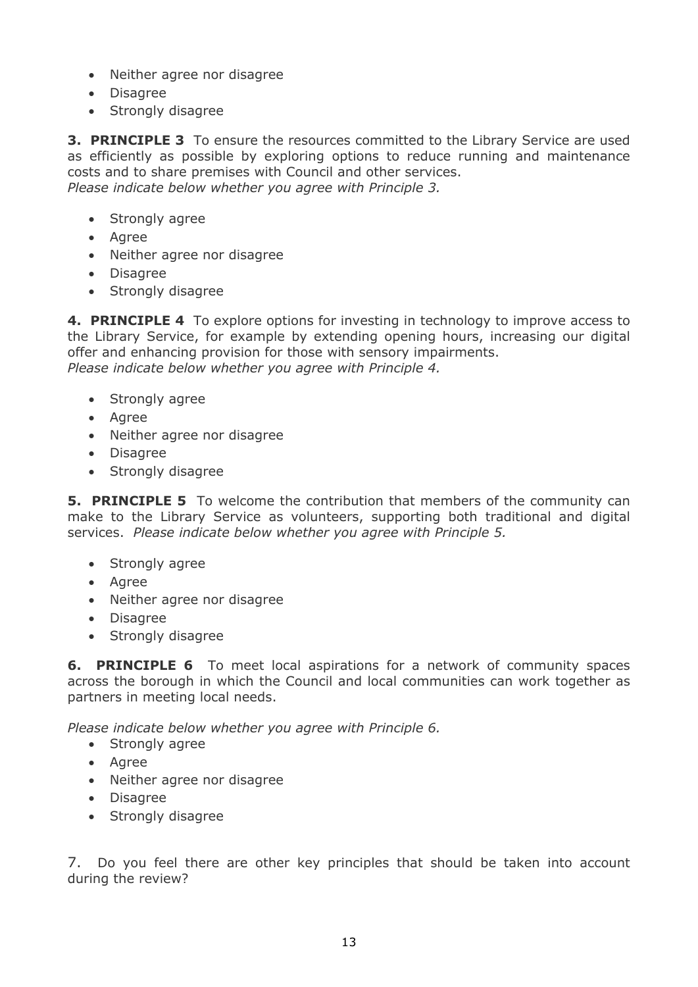- Neither agree nor disagree
- Disagree
- Strongly disagree

**3. PRINCIPLE 3** To ensure the resources committed to the Library Service are used as efficiently as possible by exploring options to reduce running and maintenance costs and to share premises with Council and other services. *Please indicate below whether you agree with Principle 3.*

- Strongly agree
- Agree
- Neither agree nor disagree
- Disagree
- Strongly disagree

**4. PRINCIPLE 4** To explore options for investing in technology to improve access to the Library Service, for example by extending opening hours, increasing our digital offer and enhancing provision for those with sensory impairments. *Please indicate below whether you agree with Principle 4.*

- Strongly agree
- Agree
- Neither agree nor disagree
- Disagree
- Strongly disagree

**5. PRINCIPLE 5** To welcome the contribution that members of the community can make to the Library Service as volunteers, supporting both traditional and digital services. *Please indicate below whether you agree with Principle 5.*

- Strongly agree
- Agree
- Neither agree nor disagree
- Disagree
- Strongly disagree

**6. PRINCIPLE 6** To meet local aspirations for a network of community spaces across the borough in which the Council and local communities can work together as partners in meeting local needs.

*Please indicate below whether you agree with Principle 6.*

- Strongly agree
- Agree
- Neither agree nor disagree
- Disagree
- Strongly disagree

7. Do you feel there are other key principles that should be taken into account during the review?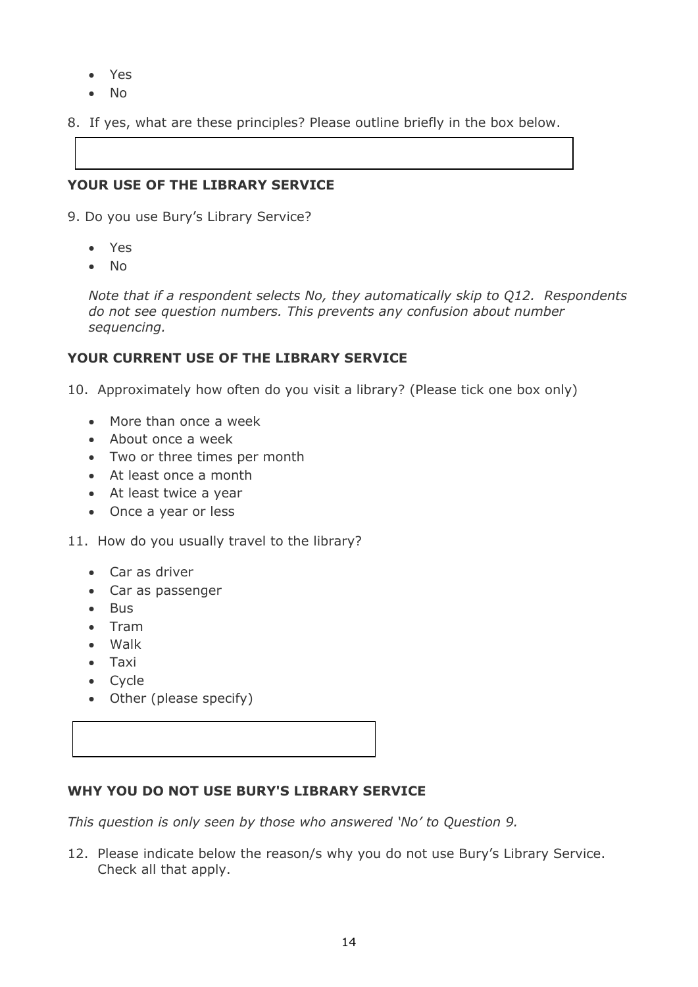- Yes
- No
- 8. If yes, what are these principles? Please outline briefly in the box below.

# **YOUR USE OF THE LIBRARY SERVICE**

- 9. Do you use Bury's Library Service?
	- Yes
	- $\bullet$  No

*Note that if a respondent selects No, they automatically skip to Q12. Respondents do not see question numbers. This prevents any confusion about number sequencing.*

# **YOUR CURRENT USE OF THE LIBRARY SERVICE**

10. Approximately how often do you visit a library? (Please tick one box only)

- More than once a week
- About once a week
- Two or three times per month
- At least once a month
- At least twice a year
- Once a year or less
- 11. How do you usually travel to the library?
	- Car as driver
	- Car as passenger
	- Bus
	- Tram
	- Walk
	- Taxi
	- Cycle
	- Other (please specify)

## **WHY YOU DO NOT USE BURY'S LIBRARY SERVICE**

*This question is only seen by those who answered 'No' to Question 9.*

12. Please indicate below the reason/s why you do not use Bury's Library Service. Check all that apply.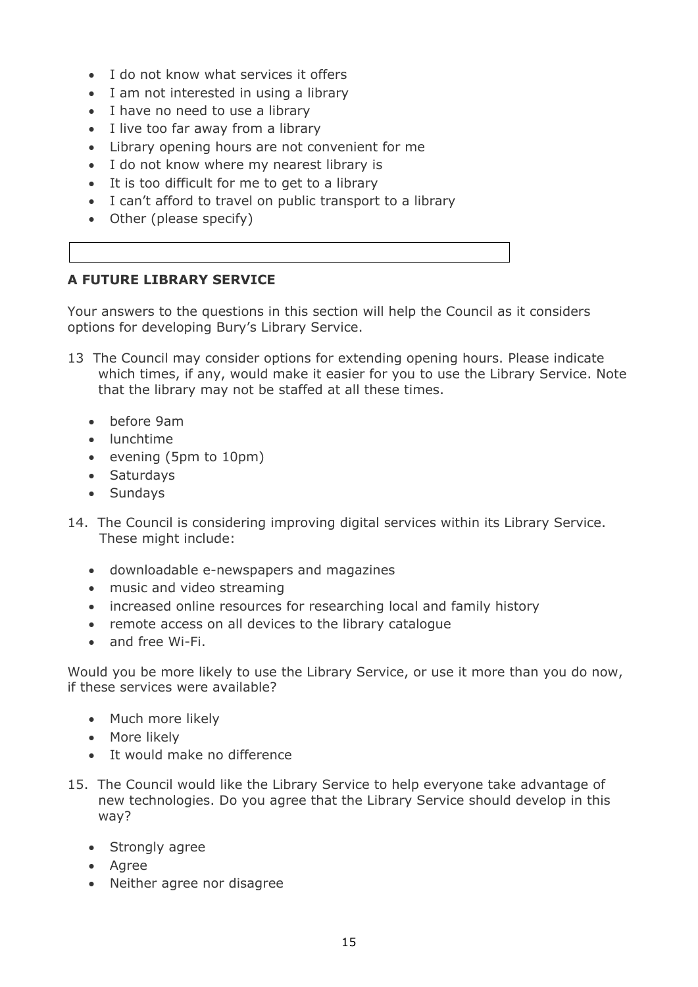- I do not know what services it offers
- I am not interested in using a library
- I have no need to use a library
- I live too far away from a library
- Library opening hours are not convenient for me
- I do not know where my nearest library is
- It is too difficult for me to get to a library
- I can't afford to travel on public transport to a library
- Other (please specify)

# **A FUTURE LIBRARY SERVICE**

Your answers to the questions in this section will help the Council as it considers options for developing Bury's Library Service.

- 13 The Council may consider options for extending opening hours. Please indicate which times, if any, would make it easier for you to use the Library Service. Note that the library may not be staffed at all these times.
	- before 9am
	- lunchtime
	- evening (5pm to 10pm)
	- Saturdays
	- Sundays
- 14. The Council is considering improving digital services within its Library Service. These might include:
	- downloadable e-newspapers and magazines
	- music and video streaming
	- increased online resources for researching local and family history
	- remote access on all devices to the library catalogue
	- and free Wi-Fi.

Would you be more likely to use the Library Service, or use it more than you do now, if these services were available?

- Much more likely
- More likely
- It would make no difference
- 15. The Council would like the Library Service to help everyone take advantage of new technologies. Do you agree that the Library Service should develop in this way?
	- Strongly agree
	- Agree
	- Neither agree nor disagree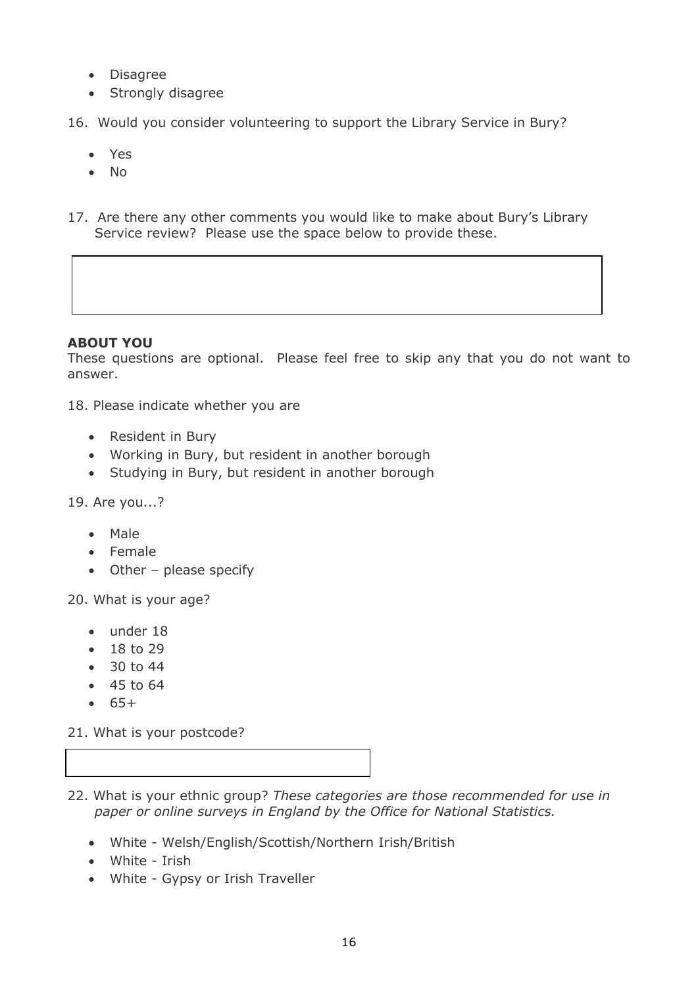- Disagree
- Strongly disagree
- 16. Would you consider volunteering to support the Library Service in Bury?
	- Yes
	- No
- 17. Are there any other comments you would like to make about Bury's Library Service review? Please use the space below to provide these.

## **ABOUT YOU**

These questions are optional. Please feel free to skip any that you do not want to answer.

18. Please indicate whether you are

- Resident in Bury
- Working in Bury, but resident in another borough
- Studying in Bury, but resident in another borough

19. Are you...?

- Male
- Female
- Other please specify

20. What is your age?

- under 18
- $18 to 29$
- $30 to 44$
- $-45$  to 64
- $65+$

21. What is your postcode?

- 22. What is your ethnic group? *These categories are those recommended for use in paper or online surveys in England by the Office for National Statistics.*
	- White Welsh/English/Scottish/Northern Irish/British
	- White Irish
	- White Gypsy or Irish Traveller